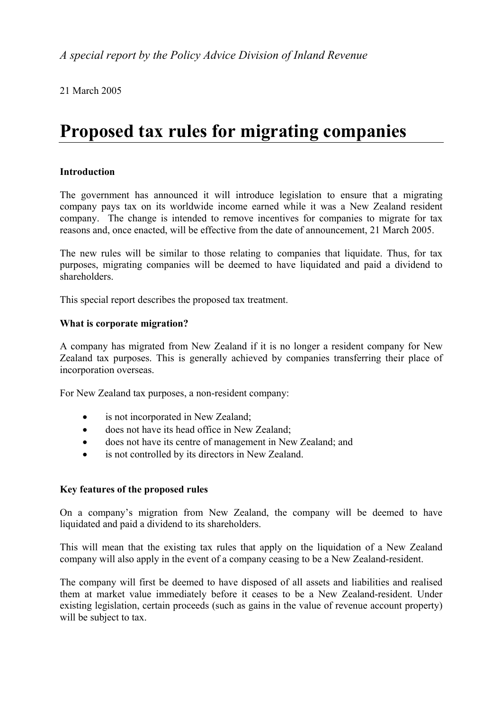21 March 2005

# **Proposed tax rules for migrating companies**

# **Introduction**

The government has announced it will introduce legislation to ensure that a migrating company pays tax on its worldwide income earned while it was a New Zealand resident company. The change is intended to remove incentives for companies to migrate for tax reasons and, once enacted, will be effective from the date of announcement, 21 March 2005.

The new rules will be similar to those relating to companies that liquidate. Thus, for tax purposes, migrating companies will be deemed to have liquidated and paid a dividend to shareholders.

This special report describes the proposed tax treatment.

# **What is corporate migration?**

A company has migrated from New Zealand if it is no longer a resident company for New Zealand tax purposes. This is generally achieved by companies transferring their place of incorporation overseas.

For New Zealand tax purposes, a non-resident company:

- is not incorporated in New Zealand;
- does not have its head office in New Zealand;
- does not have its centre of management in New Zealand; and
- is not controlled by its directors in New Zealand.

# **Key features of the proposed rules**

On a company's migration from New Zealand, the company will be deemed to have liquidated and paid a dividend to its shareholders.

This will mean that the existing tax rules that apply on the liquidation of a New Zealand company will also apply in the event of a company ceasing to be a New Zealand-resident.

The company will first be deemed to have disposed of all assets and liabilities and realised them at market value immediately before it ceases to be a New Zealand-resident. Under existing legislation, certain proceeds (such as gains in the value of revenue account property) will be subject to tax.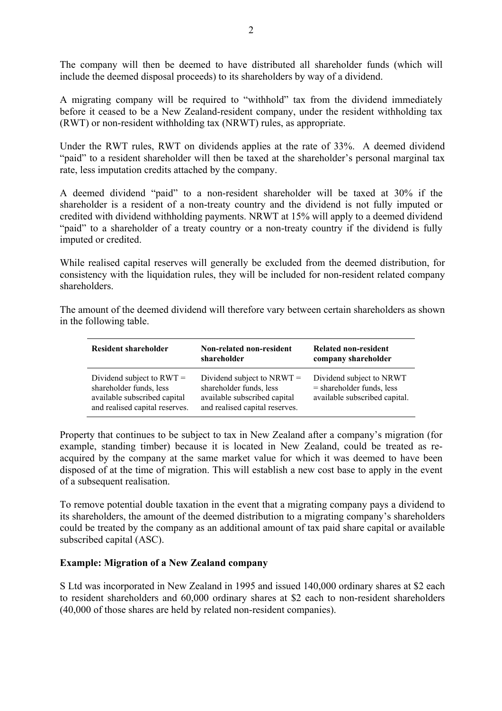The company will then be deemed to have distributed all shareholder funds (which will include the deemed disposal proceeds) to its shareholders by way of a dividend.

A migrating company will be required to "withhold" tax from the dividend immediately before it ceased to be a New Zealand-resident company, under the resident withholding tax (RWT) or non-resident withholding tax (NRWT) rules, as appropriate.

Under the RWT rules, RWT on dividends applies at the rate of 33%. A deemed dividend "paid" to a resident shareholder will then be taxed at the shareholder's personal marginal tax rate, less imputation credits attached by the company.

A deemed dividend "paid" to a non-resident shareholder will be taxed at 30% if the shareholder is a resident of a non-treaty country and the dividend is not fully imputed or credited with dividend withholding payments. NRWT at 15% will apply to a deemed dividend "paid" to a shareholder of a treaty country or a non-treaty country if the dividend is fully imputed or credited.

While realised capital reserves will generally be excluded from the deemed distribution, for consistency with the liquidation rules, they will be included for non-resident related company shareholders.

The amount of the deemed dividend will therefore vary between certain shareholders as shown in the following table.

| <b>Resident shareholder</b>                                                                                              | Non-related non-resident<br>shareholder                                                                                   | Related non-resident<br>company shareholder                                              |
|--------------------------------------------------------------------------------------------------------------------------|---------------------------------------------------------------------------------------------------------------------------|------------------------------------------------------------------------------------------|
| Dividend subject to $RWT =$<br>shareholder funds, less<br>available subscribed capital<br>and realised capital reserves. | Dividend subject to NRWT $=$<br>shareholder funds, less<br>available subscribed capital<br>and realised capital reserves. | Dividend subject to NRWT<br>$=$ shareholder funds, less<br>available subscribed capital. |

Property that continues to be subject to tax in New Zealand after a company's migration (for example, standing timber) because it is located in New Zealand, could be treated as reacquired by the company at the same market value for which it was deemed to have been disposed of at the time of migration. This will establish a new cost base to apply in the event of a subsequent realisation.

To remove potential double taxation in the event that a migrating company pays a dividend to its shareholders, the amount of the deemed distribution to a migrating company's shareholders could be treated by the company as an additional amount of tax paid share capital or available subscribed capital (ASC).

#### **Example: Migration of a New Zealand company**

S Ltd was incorporated in New Zealand in 1995 and issued 140,000 ordinary shares at \$2 each to resident shareholders and 60,000 ordinary shares at \$2 each to non-resident shareholders (40,000 of those shares are held by related non-resident companies).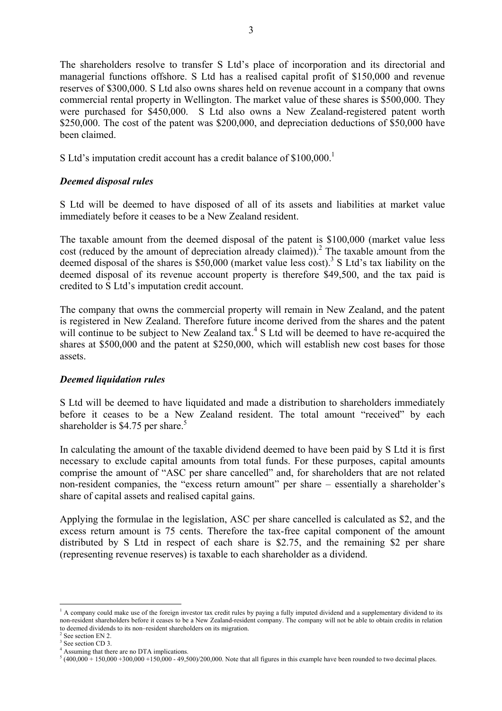The shareholders resolve to transfer S Ltd's place of incorporation and its directorial and managerial functions offshore. S Ltd has a realised capital profit of \$150,000 and revenue reserves of \$300,000. S Ltd also owns shares held on revenue account in a company that owns commercial rental property in Wellington. The market value of these shares is \$500,000. They were purchased for \$450,000. S Ltd also owns a New Zealand-registered patent worth \$250,000. The cost of the patent was \$200,000, and depreciation deductions of \$50,000 have been claimed.

S Ltd's imputation credit account has a credit balance of  $$100,000$ .<sup>1</sup>

### *Deemed disposal rules*

S Ltd will be deemed to have disposed of all of its assets and liabilities at market value immediately before it ceases to be a New Zealand resident.

The taxable amount from the deemed disposal of the patent is \$100,000 (market value less cost (reduced by the amount of depreciation already claimed)).<sup>2</sup> The taxable amount from the deemed disposal of the shares is  $$50,000$  (market value less cost).<sup>3</sup> S Ltd's tax liability on the deemed disposal of its revenue account property is therefore \$49,500, and the tax paid is credited to S Ltd's imputation credit account.

The company that owns the commercial property will remain in New Zealand, and the patent is registered in New Zealand. Therefore future income derived from the shares and the patent will continue to be subject to New Zealand tax. $4S$  Ltd will be deemed to have re-acquired the shares at \$500,000 and the patent at \$250,000, which will establish new cost bases for those assets.

#### *Deemed liquidation rules*

S Ltd will be deemed to have liquidated and made a distribution to shareholders immediately before it ceases to be a New Zealand resident. The total amount "received" by each shareholder is \$4.75 per share.<sup>5</sup>

In calculating the amount of the taxable dividend deemed to have been paid by S Ltd it is first necessary to exclude capital amounts from total funds. For these purposes, capital amounts comprise the amount of "ASC per share cancelled" and, for shareholders that are not related non-resident companies, the "excess return amount" per share – essentially a shareholder's share of capital assets and realised capital gains.

Applying the formulae in the legislation, ASC per share cancelled is calculated as \$2, and the excess return amount is 75 cents. Therefore the tax-free capital component of the amount distributed by S Ltd in respect of each share is \$2.75, and the remaining \$2 per share (representing revenue reserves) is taxable to each shareholder as a dividend.

 $\overline{a}$ 

<sup>&</sup>lt;sup>1</sup> A company could make use of the foreign investor tax credit rules by paying a fully imputed dividend and a supplementary dividend to its non-resident shareholders before it ceases to be a New Zealand-resident company. The company will not be able to obtain credits in relation to deemed dividends to its non–resident shareholders on its migration. 2

See section EN 2.

<sup>&</sup>lt;sup>3</sup> See section CD 3. 4 Assuming that there are no DTA implications.

 $5(400,000 + 150,000 + 300,000 + 150,000 - 49,500)/200,000$ . Note that all figures in this example have been rounded to two decimal places.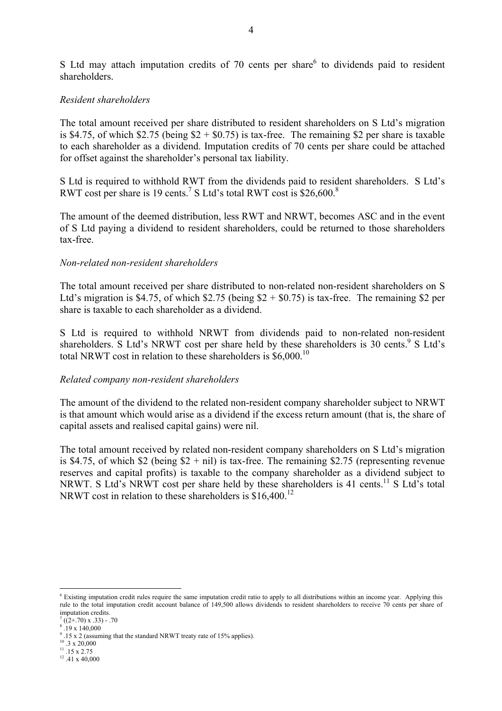S Ltd may attach imputation credits of  $70$  cents per share<sup>6</sup> to dividends paid to resident shareholders.

#### *Resident shareholders*

The total amount received per share distributed to resident shareholders on S Ltd's migration is \$4.75, of which \$2.75 (being  $$2 + $0.75$ ) is tax-free. The remaining \$2 per share is taxable to each shareholder as a dividend. Imputation credits of 70 cents per share could be attached for offset against the shareholder's personal tax liability.

S Ltd is required to withhold RWT from the dividends paid to resident shareholders. S Ltd's RWT cost per share is 19 cents.<sup>7</sup> S Ltd's total RWT cost is \$26,600.<sup>8</sup>

The amount of the deemed distribution, less RWT and NRWT, becomes ASC and in the event of S Ltd paying a dividend to resident shareholders, could be returned to those shareholders tax-free.

#### *Non-related non-resident shareholders*

The total amount received per share distributed to non-related non-resident shareholders on S Ltd's migration is \$4.75, of which  $$2.75$  (being  $$2 + $0.75$ ) is tax-free. The remaining \$2 per share is taxable to each shareholder as a dividend.

S Ltd is required to withhold NRWT from dividends paid to non-related non-resident shareholders. S Ltd's NRWT cost per share held by these shareholders is 30 cents.  $9$  S Ltd's total NRWT cost in relation to these shareholders is \$6,000.10

#### *Related company non-resident shareholders*

The amount of the dividend to the related non-resident company shareholder subject to NRWT is that amount which would arise as a dividend if the excess return amount (that is, the share of capital assets and realised capital gains) were nil.

The total amount received by related non-resident company shareholders on S Ltd's migration is \$4.75, of which \$2 (being  $$2 + nil$ ) is tax-free. The remaining \$2.75 (representing revenue reserves and capital profits) is taxable to the company shareholder as a dividend subject to NRWT. S Ltd's NRWT cost per share held by these shareholders is 41 cents.<sup>11</sup> S Ltd's total NRWT cost in relation to these shareholders is  $$16,400$ <sup>12</sup>

8 .19 x 140,000

 $\overline{a}$ 

- $10^{10}$  .3 x 20,000
- $11.15 \times 2.75$

<sup>&</sup>lt;sup>6</sup> Existing imputation credit rules require the same imputation credit ratio to apply to all distributions within an income year. Applying this rule to the total imputation credit account balance of 149,500 allows dividends to resident shareholders to receive 70 cents per share of imputation credits.

 $\sqrt{7}$  ((2+.70) x .33) - .70

 $9.15 \times 2$  (assuming that the standard NRWT treaty rate of 15% applies).

<sup>12 .41</sup> x 40,000